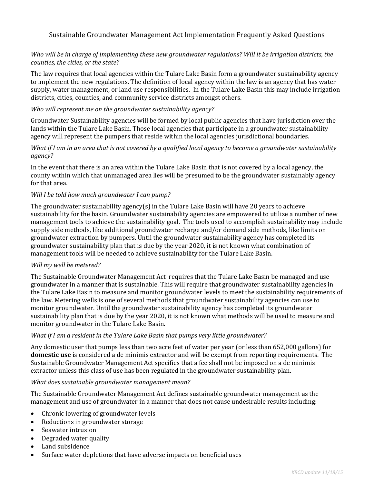# Sustainable Groundwater Management Act Implementation Frequently Asked Questions

### Who will be in charge of implementing these new groundwater regulations? Will it be irrigation districts, the *counties, the cities, or the state?*

The law requires that local agencies within the Tulare Lake Basin form a groundwater sustainability agency to implement the new regulations. The definition of local agency within the law is an agency that has water supply, water management, or land use responsibilities. In the Tulare Lake Basin this may include irrigation districts, cities, counties, and community service districts amongst others.

### *Who will represent me on the groundwater sustainability agency?*

Groundwater Sustainability agencies will be formed by local public agencies that have jurisdiction over the lands within the Tulare Lake Basin. Those local agencies that participate in a groundwater sustainability agency will represent the pumpers that reside within the local agencies jurisdictional boundaries.

### What if I am in an area that is not covered by a qualified local agency to become a groundwater sustainability *agency?*

In the event that there is an area within the Tulare Lake Basin that is not covered by a local agency, the county within which that unmanaged area lies will be presumed to be the groundwater sustainably agency for that area.

### *Will I be told how much groundwater I can pump?*

The groundwater sustainability agency(s) in the Tulare Lake Basin will have 20 years to achieve sustainability for the basin. Groundwater sustainability agencies are empowered to utilize a number of new management tools to achieve the sustainability goal. The tools used to accomplish sustainability may include supply side methods, like additional groundwater recharge and/or demand side methods, like limits on groundwater extraction by pumpers. Until the groundwater sustainability agency has completed its groundwater sustainability plan that is due by the year 2020, it is not known what combination of management tools will be needed to achieve sustainability for the Tulare Lake Basin.

#### *Will my well be metered?*

The Sustainable Groundwater Management Act requires that the Tulare Lake Basin be managed and use groundwater in a manner that is sustainable. This will require that groundwater sustainability agencies in the Tulare Lake Basin to measure and monitor groundwater levels to meet the sustainability requirements of the law. Metering wells is one of several methods that groundwater sustainability agencies can use to monitor groundwater. Until the groundwater sustainability agency has completed its groundwater sustainability plan that is due by the year 2020, it is not known what methods will be used to measure and monitor groundwater in the Tulare Lake Basin.

### *What if I am a resident in the Tulare Lake Basin that pumps very little groundwater?*

Any domestic user that pumps less than two acre feet of water per year (or less than 652,000 gallons) for **domestic** use is considered a de minimis extractor and will be exempt from reporting requirements. The Sustainable Groundwater Management Act specifies that a fee shall not be imposed on a de minimis extractor unless this class of use has been regulated in the groundwater sustainability plan.

#### *What does sustainable groundwater management mean?*

The Sustainable Groundwater Management Act defines sustainable groundwater management as the management and use of groundwater in a manner that does not cause undesirable results including:

- Chronic lowering of groundwater levels
- Reductions in groundwater storage
- Seawater intrusion
- Degraded water quality
- Land subsidence
- Surface water depletions that have adverse impacts on beneficial uses